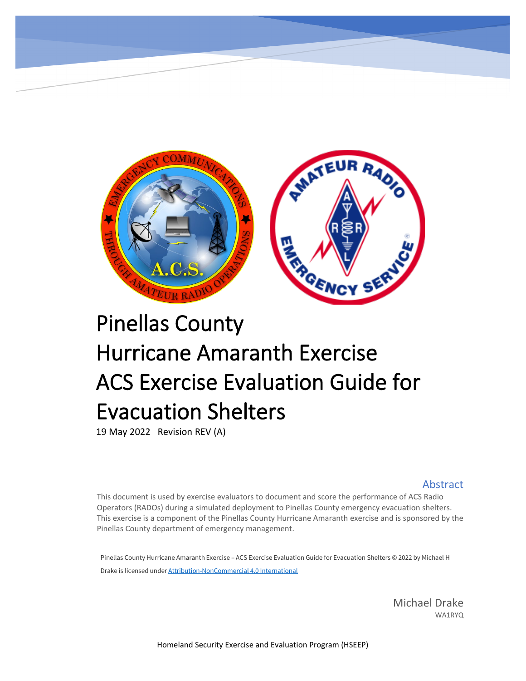

# Pinellas County Hurricane Amaranth Exercise ACS Exercise Evaluation Guide for Evacuation Shelters

19 May 2022 Revision REV (A)

#### **Abstract**

This document is used by exercise evaluators to document and score the performance of ACS Radio Operators (RADOs) during a simulated deployment to Pinellas County emergency evacuation shelters. This exercise is a component of the Pinellas County Hurricane Amaranth exercise and is sponsored by the Pinellas County department of emergency management.

Pinellas County Hurricane Amaranth Exercise – ACS Exercise Evaluation Guide for Evacuation Shelters © 2022 by Michael H Drake is licensed under [Attribution-NonCommercial 4.0 International](http://creativecommons.org/licenses/by-nc/4.0/?ref=chooser-v1)

> Michael Drake WA1RYQ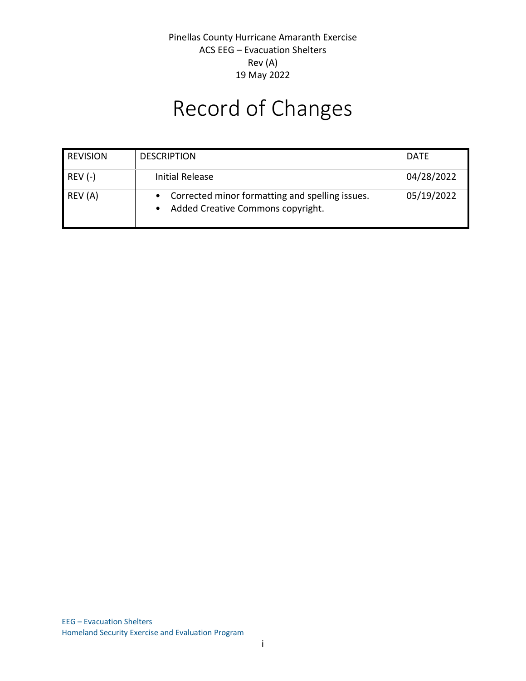## Record of Changes

| <b>REVISION</b> | <b>DESCRIPTION</b>                                                                     | <b>DATE</b> |
|-----------------|----------------------------------------------------------------------------------------|-------------|
| $REV (-)$       | Initial Release                                                                        | 04/28/2022  |
| REV (A)         | • Corrected minor formatting and spelling issues.<br>Added Creative Commons copyright. | 05/19/2022  |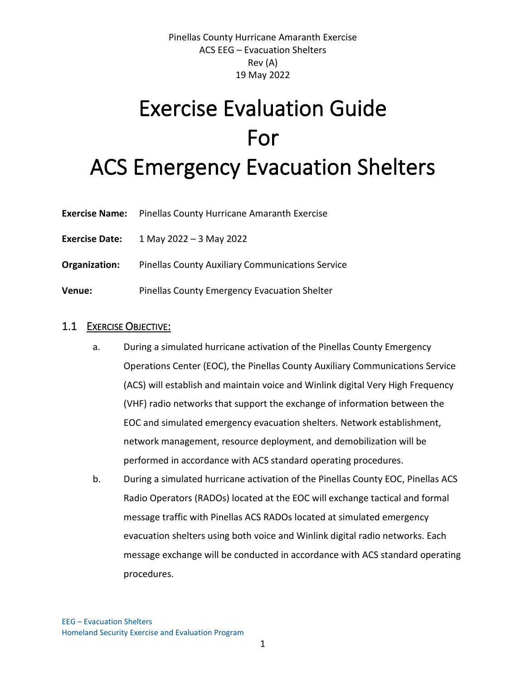## Exercise Evaluation Guide For ACS Emergency Evacuation Shelters

- **Exercise Name:** Pinellas County Hurricane Amaranth Exercise
- **Exercise Date:** 1 May 2022 3 May 2022
- **Organization:** Pinellas County Auxiliary Communications Service
- **Venue:** Pinellas County Emergency Evacuation Shelter

#### 1.1 EXERCISE OBJECTIVE:

- a. During a simulated hurricane activation of the Pinellas County Emergency Operations Center (EOC), the Pinellas County Auxiliary Communications Service (ACS) will establish and maintain voice and Winlink digital Very High Frequency (VHF) radio networks that support the exchange of information between the EOC and simulated emergency evacuation shelters. Network establishment, network management, resource deployment, and demobilization will be performed in accordance with ACS standard operating procedures.
- b. During a simulated hurricane activation of the Pinellas County EOC, Pinellas ACS Radio Operators (RADOs) located at the EOC will exchange tactical and formal message traffic with Pinellas ACS RADOs located at simulated emergency evacuation shelters using both voice and Winlink digital radio networks. Each message exchange will be conducted in accordance with ACS standard operating procedures.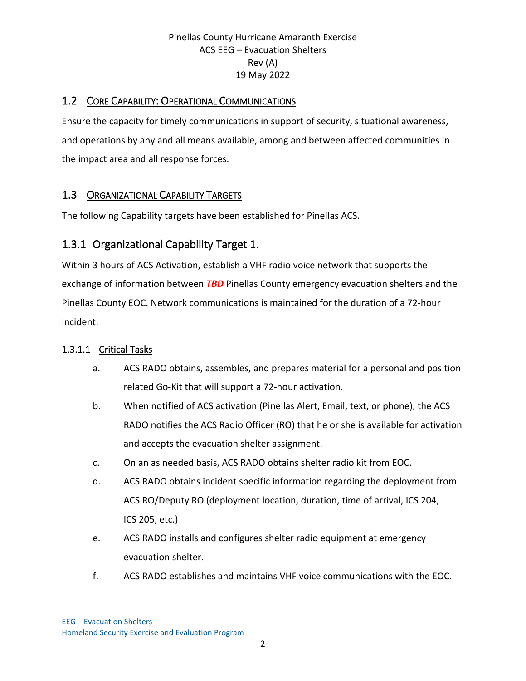## 1.2 CORE CAPABILITY: OPERATIONAL COMMUNICATIONS

Ensure the capacity for timely communications in support of security, situational awareness, and operations by any and all means available, among and between affected communities in the impact area and all response forces.

## 1.3 ORGANIZATIONAL CAPABILITY TARGETS

The following Capability targets have been established for Pinellas ACS.

## 1.3.1 Organizational Capability Target 1.

Within 3 hours of ACS Activation, establish a VHF radio voice network that supports the exchange of information between *TBD* Pinellas County emergency evacuation shelters and the Pinellas County EOC. Network communications is maintained for the duration of a 72-hour incident.

## 1.3.1.1 Critical Tasks

- a. ACS RADO obtains, assembles, and prepares material for a personal and position related Go-Kit that will support a 72-hour activation.
- b. When notified of ACS activation (Pinellas Alert, Email, text, or phone), the ACS RADO notifies the ACS Radio Officer (RO) that he or she is available for activation and accepts the evacuation shelter assignment.
- c. On an as needed basis, ACS RADO obtains shelter radio kit from EOC.
- d. ACS RADO obtains incident specific information regarding the deployment from ACS RO/Deputy RO (deployment location, duration, time of arrival, ICS 204, ICS 205, etc.)
- e. ACS RADO installs and configures shelter radio equipment at emergency evacuation shelter.
- f. ACS RADO establishes and maintains VHF voice communications with the EOC.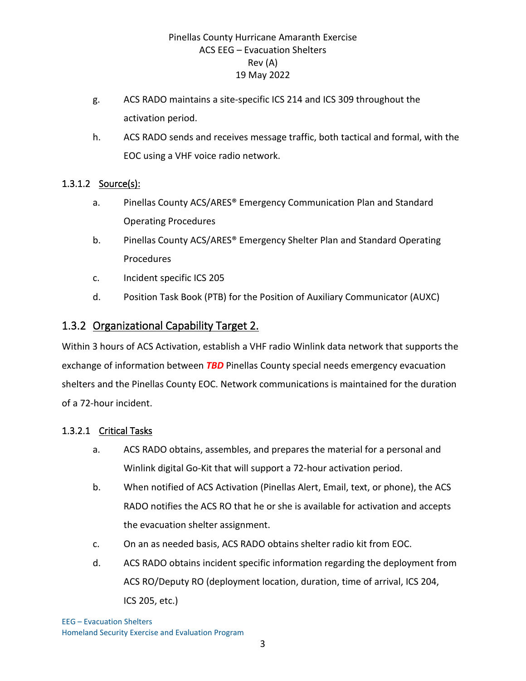- g. ACS RADO maintains a site-specific ICS 214 and ICS 309 throughout the activation period.
- h. ACS RADO sends and receives message traffic, both tactical and formal, with the EOC using a VHF voice radio network.

#### 1.3.1.2 Source(s):

- a. Pinellas County ACS/ARES® Emergency Communication Plan and Standard Operating Procedures
- b. Pinellas County ACS/ARES® Emergency Shelter Plan and Standard Operating Procedures
- c. Incident specific ICS 205
- d. Position Task Book (PTB) for the Position of Auxiliary Communicator (AUXC)

## 1.3.2 Organizational Capability Target 2.

Within 3 hours of ACS Activation, establish a VHF radio Winlink data network that supports the exchange of information between *TBD* Pinellas County special needs emergency evacuation shelters and the Pinellas County EOC. Network communications is maintained for the duration of a 72-hour incident.

## 1.3.2.1 Critical Tasks

- a. ACS RADO obtains, assembles, and prepares the material for a personal and Winlink digital Go-Kit that will support a 72-hour activation period.
- b. When notified of ACS Activation (Pinellas Alert, Email, text, or phone), the ACS RADO notifies the ACS RO that he or she is available for activation and accepts the evacuation shelter assignment.
- c. On an as needed basis, ACS RADO obtains shelter radio kit from EOC.
- d. ACS RADO obtains incident specific information regarding the deployment from ACS RO/Deputy RO (deployment location, duration, time of arrival, ICS 204, ICS 205, etc.)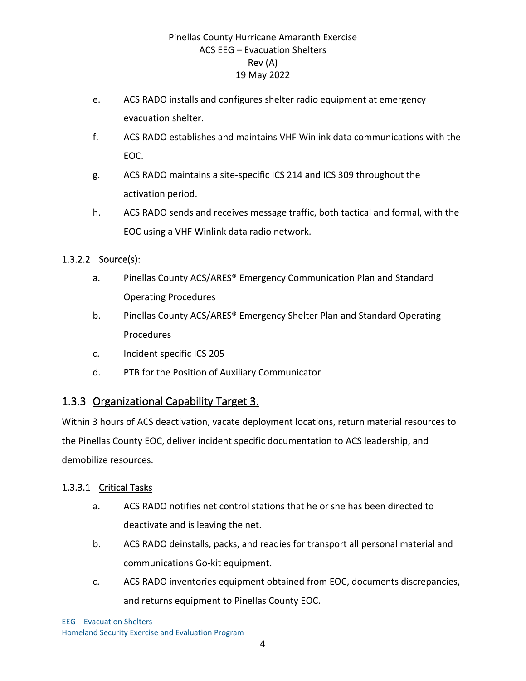- e. ACS RADO installs and configures shelter radio equipment at emergency evacuation shelter.
- f. ACS RADO establishes and maintains VHF Winlink data communications with the EOC.
- g. ACS RADO maintains a site-specific ICS 214 and ICS 309 throughout the activation period.
- h. ACS RADO sends and receives message traffic, both tactical and formal, with the EOC using a VHF Winlink data radio network.

## 1.3.2.2 Source(s):

- a. Pinellas County ACS/ARES® Emergency Communication Plan and Standard Operating Procedures
- b. Pinellas County ACS/ARES® Emergency Shelter Plan and Standard Operating Procedures
- c. Incident specific ICS 205
- d. PTB for the Position of Auxiliary Communicator

## 1.3.3 Organizational Capability Target 3.

Within 3 hours of ACS deactivation, vacate deployment locations, return material resources to the Pinellas County EOC, deliver incident specific documentation to ACS leadership, and demobilize resources.

#### 1.3.3.1 Critical Tasks

- a. ACS RADO notifies net control stations that he or she has been directed to deactivate and is leaving the net.
- b. ACS RADO deinstalls, packs, and readies for transport all personal material and communications Go-kit equipment.
- c. ACS RADO inventories equipment obtained from EOC, documents discrepancies, and returns equipment to Pinellas County EOC.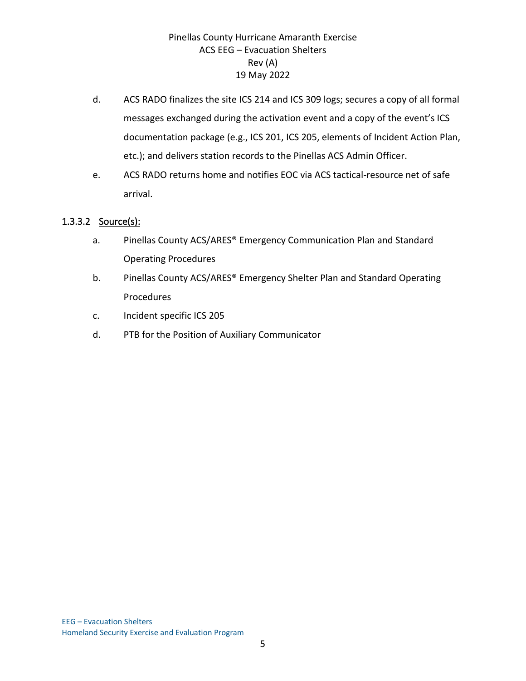- d. ACS RADO finalizes the site ICS 214 and ICS 309 logs; secures a copy of all formal messages exchanged during the activation event and a copy of the event's ICS documentation package (e.g., ICS 201, ICS 205, elements of Incident Action Plan, etc.); and delivers station records to the Pinellas ACS Admin Officer.
- e. ACS RADO returns home and notifies EOC via ACS tactical-resource net of safe arrival.

#### 1.3.3.2 Source(s):

- a. Pinellas County ACS/ARES® Emergency Communication Plan and Standard Operating Procedures
- b. Pinellas County ACS/ARES® Emergency Shelter Plan and Standard Operating Procedures
- c. Incident specific ICS 205
- d. PTB for the Position of Auxiliary Communicator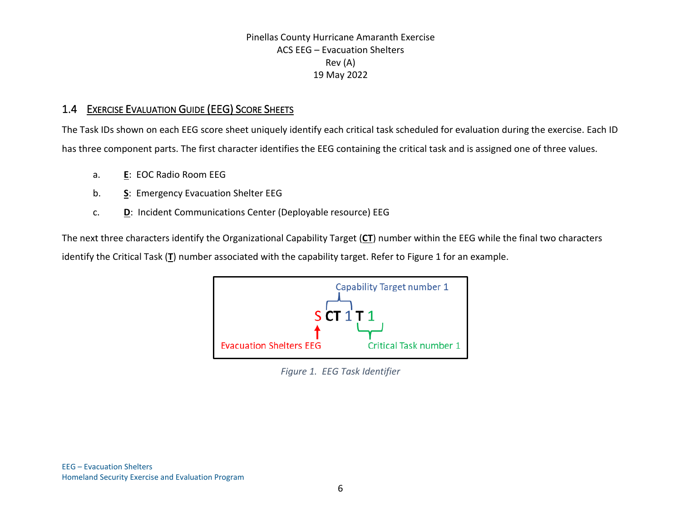## 1.4 EXERCISE EVALUATION GUIDE (EEG) SCORE SHEETS

The Task IDs shown on each EEG score sheet uniquely identify each critical task scheduled for evaluation during the exercise. Each ID has three component parts. The first character identifies the EEG containing the critical task and is assigned one of three values.

- a. **E**: EOC Radio Room EEG
- b. **S**: Emergency Evacuation Shelter EEG
- c. **D**: Incident Communications Center (Deployable resource) EEG

<span id="page-8-0"></span>The next three characters identify the Organizational Capability Target (**CT**) number within the EEG while the final two characters identify the Critical Task (**T**) number associated with the capability target. Refer to [Figure 1](#page-8-0) for an example.



*Figure 1. EEG Task Identifier*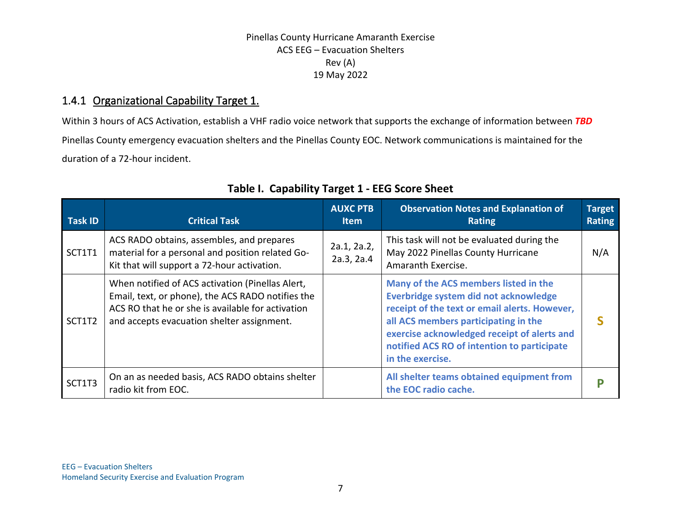## 1.4.1 Organizational Capability Target 1.

Within 3 hours of ACS Activation, establish a VHF radio voice network that supports the exchange of information between *TBD* Pinellas County emergency evacuation shelters and the Pinellas County EOC. Network communications is maintained for the duration of a 72-hour incident.

| <b>Task ID</b> | <b>Critical Task</b>                                                                                                                                                                                     | <b>AUXC PTB</b><br>Item   | <b>Observation Notes and Explanation of</b><br><b>Rating</b>                                                                                                                                                                                                                              | <b>Target</b><br>Rating |
|----------------|----------------------------------------------------------------------------------------------------------------------------------------------------------------------------------------------------------|---------------------------|-------------------------------------------------------------------------------------------------------------------------------------------------------------------------------------------------------------------------------------------------------------------------------------------|-------------------------|
| SCT1T1         | ACS RADO obtains, assembles, and prepares<br>material for a personal and position related Go-<br>Kit that will support a 72-hour activation.                                                             | 2a.1, 2a.2,<br>2a.3, 2a.4 | This task will not be evaluated during the<br>May 2022 Pinellas County Hurricane<br>Amaranth Exercise.                                                                                                                                                                                    | N/A                     |
| SCT1T2         | When notified of ACS activation (Pinellas Alert,<br>Email, text, or phone), the ACS RADO notifies the<br>ACS RO that he or she is available for activation<br>and accepts evacuation shelter assignment. |                           | Many of the ACS members listed in the<br>Everbridge system did not acknowledge<br>receipt of the text or email alerts. However,<br>all ACS members participating in the<br>exercise acknowledged receipt of alerts and<br>notified ACS RO of intention to participate<br>in the exercise. |                         |
| SCT1T3         | On an as needed basis, ACS RADO obtains shelter<br>radio kit from EOC.                                                                                                                                   |                           | All shelter teams obtained equipment from<br>the EOC radio cache.                                                                                                                                                                                                                         |                         |

## **Table I. Capability Target 1 - EEG Score Sheet**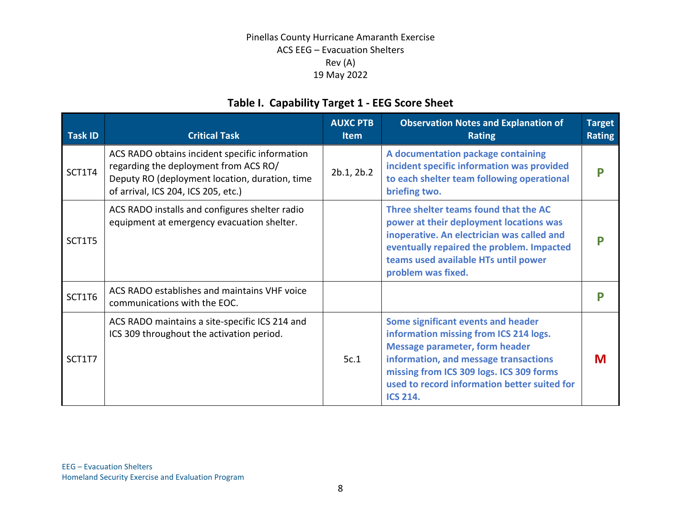## **Table I. Capability Target 1 - EEG Score Sheet**

| <b>Task ID</b> | <b>Critical Task</b>                                                                                                                                                             | <b>AUXC PTB</b><br><b>Item</b> | <b>Observation Notes and Explanation of</b><br><b>Rating</b>                                                                                                                                                                                                                  | <b>Target</b><br><b>Rating</b> |
|----------------|----------------------------------------------------------------------------------------------------------------------------------------------------------------------------------|--------------------------------|-------------------------------------------------------------------------------------------------------------------------------------------------------------------------------------------------------------------------------------------------------------------------------|--------------------------------|
| SCT1T4         | ACS RADO obtains incident specific information<br>regarding the deployment from ACS RO/<br>Deputy RO (deployment location, duration, time<br>of arrival, ICS 204, ICS 205, etc.) | 2b.1, 2b.2                     | A documentation package containing<br>incident specific information was provided<br>to each shelter team following operational<br>briefing two.                                                                                                                               |                                |
| SCT1T5         | ACS RADO installs and configures shelter radio<br>equipment at emergency evacuation shelter.                                                                                     |                                | Three shelter teams found that the AC<br>power at their deployment locations was<br>inoperative. An electrician was called and<br>eventually repaired the problem. Impacted<br>teams used available HTs until power<br>problem was fixed.                                     |                                |
| SCT1T6         | ACS RADO establishes and maintains VHF voice<br>communications with the EOC.                                                                                                     |                                |                                                                                                                                                                                                                                                                               |                                |
| SCT1T7         | ACS RADO maintains a site-specific ICS 214 and<br>ICS 309 throughout the activation period.                                                                                      | 5c.1                           | Some significant events and header<br>information missing from ICS 214 logs.<br><b>Message parameter, form header</b><br>information, and message transactions<br>missing from ICS 309 logs. ICS 309 forms<br>used to record information better suited for<br><b>ICS 214.</b> | M                              |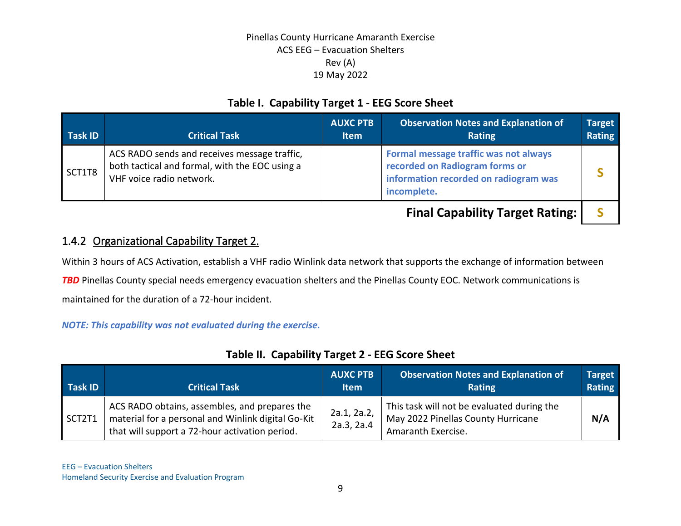## **Table I. Capability Target 1 - EEG Score Sheet**

| <b>Task ID</b> | <b>Critical Task</b>                                                                                                       | <b>AUXC PTB</b><br><b>Item</b> | <b>Observation Notes and Explanation of</b><br>Rating                                                                           | <b>Target</b><br><b>Rating</b> |
|----------------|----------------------------------------------------------------------------------------------------------------------------|--------------------------------|---------------------------------------------------------------------------------------------------------------------------------|--------------------------------|
| SCT1T8         | ACS RADO sends and receives message traffic,<br>both tactical and formal, with the EOC using a<br>VHF voice radio network. |                                | Formal message traffic was not always<br>recorded on Radiogram forms or<br>information recorded on radiogram was<br>incomplete. |                                |
|                |                                                                                                                            |                                | <b>Final Capability Target Rating:</b>                                                                                          |                                |

1.4.2 Organizational Capability Target 2.

Within 3 hours of ACS Activation, establish a VHF radio Winlink data network that supports the exchange of information between

**TBD** Pinellas County special needs emergency evacuation shelters and the Pinellas County EOC. Network communications is

maintained for the duration of a 72-hour incident.

#### *NOTE: This capability was not evaluated during the exercise.*

| Task ID | <b>Critical Task</b>                                                                                                                                  | <b>AUXC PTB</b><br><b>Item</b> | <b>Observation Notes and Explanation of</b><br><b>Rating</b>                                           | <b>Target</b><br>Rating |
|---------|-------------------------------------------------------------------------------------------------------------------------------------------------------|--------------------------------|--------------------------------------------------------------------------------------------------------|-------------------------|
| SCT2T1  | ACS RADO obtains, assembles, and prepares the<br>material for a personal and Winlink digital Go-Kit<br>that will support a 72-hour activation period. | 2a.1, 2a.2,<br>2a.3, 2a.4      | This task will not be evaluated during the<br>May 2022 Pinellas County Hurricane<br>Amaranth Exercise. | N/A                     |

## **Table II. Capability Target 2 - EEG Score Sheet**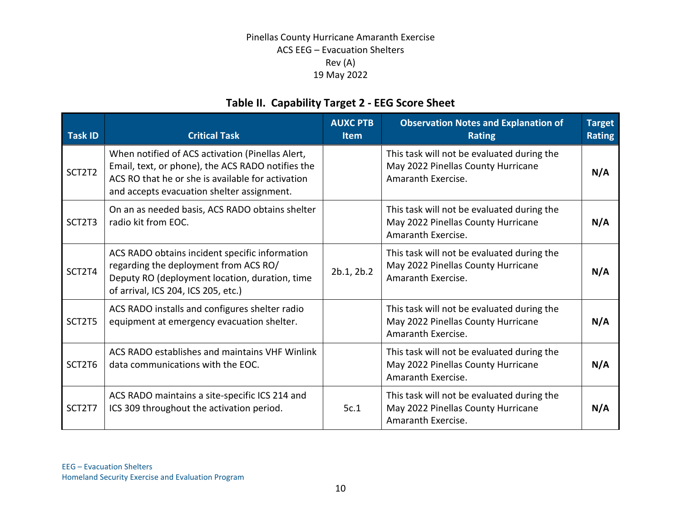## **Table II. Capability Target 2 - EEG Score Sheet**

| <b>Task ID</b> | <b>Critical Task</b>                                                                                                                                                                                     | <b>AUXC PTB</b><br><b>Item</b> | <b>Observation Notes and Explanation of</b><br><b>Rating</b>                                           | <b>Target</b><br><b>Rating</b> |
|----------------|----------------------------------------------------------------------------------------------------------------------------------------------------------------------------------------------------------|--------------------------------|--------------------------------------------------------------------------------------------------------|--------------------------------|
| SCT2T2         | When notified of ACS activation (Pinellas Alert,<br>Email, text, or phone), the ACS RADO notifies the<br>ACS RO that he or she is available for activation<br>and accepts evacuation shelter assignment. |                                | This task will not be evaluated during the<br>May 2022 Pinellas County Hurricane<br>Amaranth Exercise. | N/A                            |
| SCT2T3         | On an as needed basis, ACS RADO obtains shelter<br>radio kit from EOC.                                                                                                                                   |                                | This task will not be evaluated during the<br>May 2022 Pinellas County Hurricane<br>Amaranth Exercise. | N/A                            |
| SCT2T4         | ACS RADO obtains incident specific information<br>regarding the deployment from ACS RO/<br>Deputy RO (deployment location, duration, time<br>of arrival, ICS 204, ICS 205, etc.)                         | 2b.1, 2b.2                     | This task will not be evaluated during the<br>May 2022 Pinellas County Hurricane<br>Amaranth Exercise. | N/A                            |
| SCT2T5         | ACS RADO installs and configures shelter radio<br>equipment at emergency evacuation shelter.                                                                                                             |                                | This task will not be evaluated during the<br>May 2022 Pinellas County Hurricane<br>Amaranth Exercise. | N/A                            |
| SCT2T6         | ACS RADO establishes and maintains VHF Winlink<br>data communications with the EOC.                                                                                                                      |                                | This task will not be evaluated during the<br>May 2022 Pinellas County Hurricane<br>Amaranth Exercise. | N/A                            |
| SCT2T7         | ACS RADO maintains a site-specific ICS 214 and<br>ICS 309 throughout the activation period.                                                                                                              | 5c.1                           | This task will not be evaluated during the<br>May 2022 Pinellas County Hurricane<br>Amaranth Exercise. | N/A                            |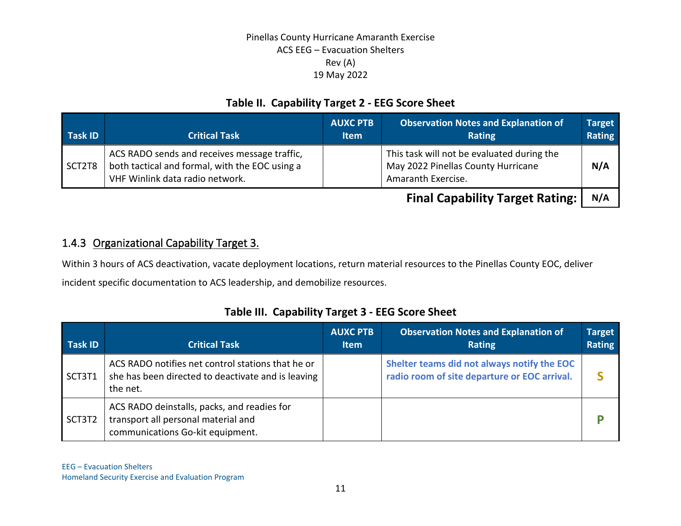## **Table II. Capability Target 2 - EEG Score Sheet**

| Task ID | <b>Critical Task</b>                                                                                                              | <b>AUXC PTB</b><br><b>Item</b> | <b>Observation Notes and Explanation of</b><br><b>Rating</b>                                           | <b>Target</b><br>Rating |
|---------|-----------------------------------------------------------------------------------------------------------------------------------|--------------------------------|--------------------------------------------------------------------------------------------------------|-------------------------|
| SCT2T8  | ACS RADO sends and receives message traffic,<br>both tactical and formal, with the EOC using a<br>VHF Winlink data radio network. |                                | This task will not be evaluated during the<br>May 2022 Pinellas County Hurricane<br>Amaranth Exercise. | N/A                     |
|         |                                                                                                                                   |                                |                                                                                                        |                         |

**Final Capability Target Rating:** | N/A

## 1.4.3 Organizational Capability Target 3.

Within 3 hours of ACS deactivation, vacate deployment locations, return material resources to the Pinellas County EOC, deliver incident specific documentation to ACS leadership, and demobilize resources.

## **Table III. Capability Target 3 - EEG Score Sheet**

| Task ID | <b>Critical Task</b>                                                                                                   | <b>AUXC PTB</b><br><b>Item</b> | <b>Observation Notes and Explanation of</b><br><b>Rating</b>                                | <b>Target</b><br><b>Rating</b> |
|---------|------------------------------------------------------------------------------------------------------------------------|--------------------------------|---------------------------------------------------------------------------------------------|--------------------------------|
| SCT3T1  | ACS RADO notifies net control stations that he or<br>she has been directed to deactivate and is leaving<br>the net.    |                                | Shelter teams did not always notify the EOC<br>radio room of site departure or EOC arrival. |                                |
| SCT3T2  | ACS RADO deinstalls, packs, and readies for<br>transport all personal material and<br>communications Go-kit equipment. |                                |                                                                                             |                                |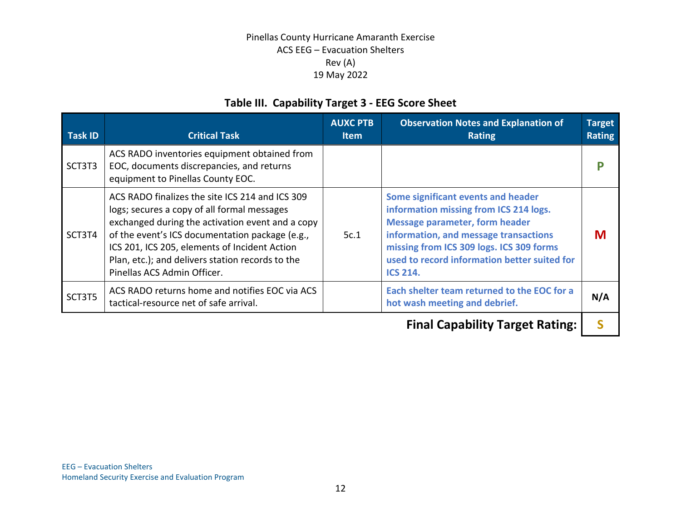## **Table III. Capability Target 3 - EEG Score Sheet**

| <b>Task ID</b> | <b>Critical Task</b>                                                                                                                                                                                                                                                                                                                      | <b>AUXC PTB</b><br><b>Item</b> | <b>Observation Notes and Explanation of</b><br><b>Rating</b>                                                                                                                                                                                                                  | <b>Target</b><br><b>Rating</b> |
|----------------|-------------------------------------------------------------------------------------------------------------------------------------------------------------------------------------------------------------------------------------------------------------------------------------------------------------------------------------------|--------------------------------|-------------------------------------------------------------------------------------------------------------------------------------------------------------------------------------------------------------------------------------------------------------------------------|--------------------------------|
| SCT3T3         | ACS RADO inventories equipment obtained from<br>EOC, documents discrepancies, and returns<br>equipment to Pinellas County EOC.                                                                                                                                                                                                            |                                |                                                                                                                                                                                                                                                                               |                                |
| SCT3T4         | ACS RADO finalizes the site ICS 214 and ICS 309<br>logs; secures a copy of all formal messages<br>exchanged during the activation event and a copy<br>of the event's ICS documentation package (e.g.,<br>ICS 201, ICS 205, elements of Incident Action<br>Plan, etc.); and delivers station records to the<br>Pinellas ACS Admin Officer. | 5c.1                           | Some significant events and header<br>information missing from ICS 214 logs.<br><b>Message parameter, form header</b><br>information, and message transactions<br>missing from ICS 309 logs. ICS 309 forms<br>used to record information better suited for<br><b>ICS 214.</b> | M                              |
| SCT3T5         | ACS RADO returns home and notifies EOC via ACS<br>tactical-resource net of safe arrival.                                                                                                                                                                                                                                                  |                                | Each shelter team returned to the EOC for a<br>hot wash meeting and debrief.                                                                                                                                                                                                  | N/A                            |
|                |                                                                                                                                                                                                                                                                                                                                           |                                | - I A - - - I - I' - - - - - - - - - - -                                                                                                                                                                                                                                      |                                |

**Final Capability Target Rating: | S**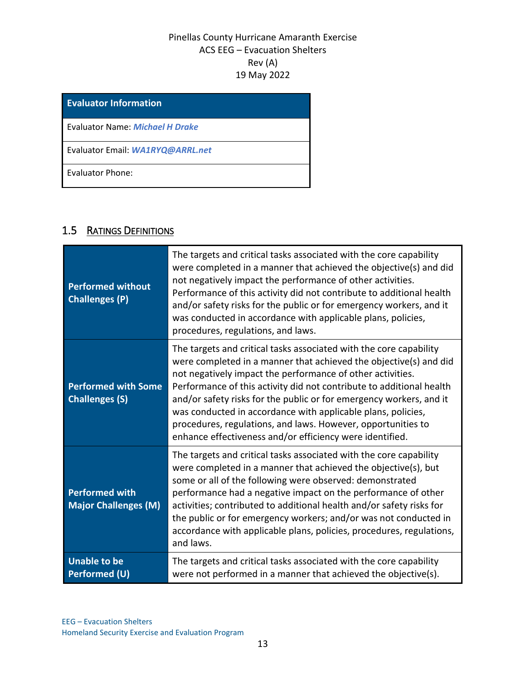**Evaluator Information** Evaluator Name: *Michael H Drake* Evaluator Email: *WA1RYQ@ARRL.net* Evaluator Phone:

## 1.5 RATINGS DEFINITIONS

| <b>Performed without</b><br><b>Challenges (P)</b>    | The targets and critical tasks associated with the core capability<br>were completed in a manner that achieved the objective(s) and did<br>not negatively impact the performance of other activities.<br>Performance of this activity did not contribute to additional health<br>and/or safety risks for the public or for emergency workers, and it<br>was conducted in accordance with applicable plans, policies,<br>procedures, regulations, and laws.                                                                                       |
|------------------------------------------------------|--------------------------------------------------------------------------------------------------------------------------------------------------------------------------------------------------------------------------------------------------------------------------------------------------------------------------------------------------------------------------------------------------------------------------------------------------------------------------------------------------------------------------------------------------|
| <b>Performed with Some</b><br><b>Challenges (S)</b>  | The targets and critical tasks associated with the core capability<br>were completed in a manner that achieved the objective(s) and did<br>not negatively impact the performance of other activities.<br>Performance of this activity did not contribute to additional health<br>and/or safety risks for the public or for emergency workers, and it<br>was conducted in accordance with applicable plans, policies,<br>procedures, regulations, and laws. However, opportunities to<br>enhance effectiveness and/or efficiency were identified. |
| <b>Performed with</b><br><b>Major Challenges (M)</b> | The targets and critical tasks associated with the core capability<br>were completed in a manner that achieved the objective(s), but<br>some or all of the following were observed: demonstrated<br>performance had a negative impact on the performance of other<br>activities; contributed to additional health and/or safety risks for<br>the public or for emergency workers; and/or was not conducted in<br>accordance with applicable plans, policies, procedures, regulations,<br>and laws.                                               |
| <b>Unable to be</b><br><b>Performed (U)</b>          | The targets and critical tasks associated with the core capability<br>were not performed in a manner that achieved the objective(s).                                                                                                                                                                                                                                                                                                                                                                                                             |